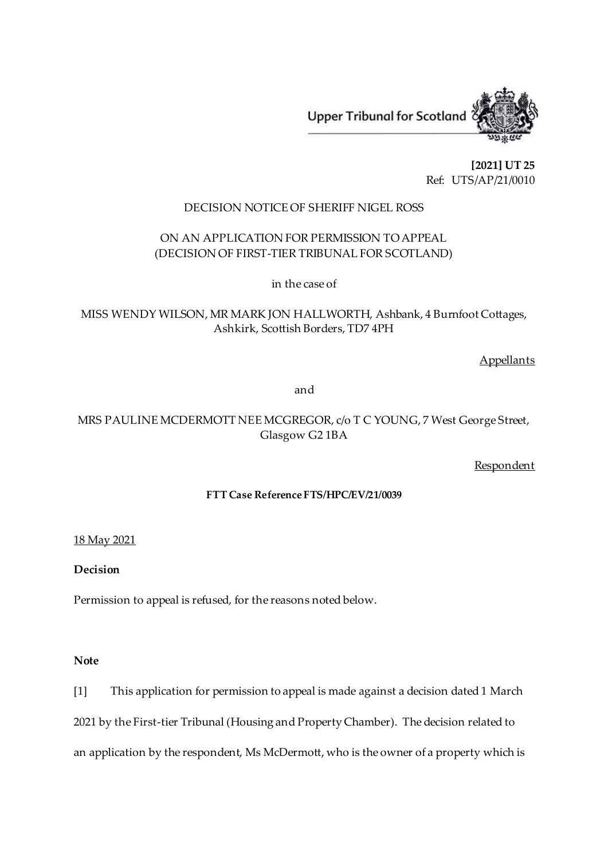

**[2021] UT 25** Ref: UTS/AP/21/0010

## DECISION NOTICE OF SHERIFF NIGEL ROSS

# ON AN APPLICATION FOR PERMISSION TO APPEAL (DECISION OF FIRST-TIER TRIBUNAL FOR SCOTLAND)

in the case of

MISS WENDY WILSON, MR MARK JON HALLWORTH, Ashbank, 4 Burnfoot Cottages, Ashkirk, Scottish Borders, TD7 4PH

**Appellants** 

and

# MRS PAULINE MCDERMOTT NEE MCGREGOR, c/o T C YOUNG, 7 West George Street, Glasgow G2 1BA

Respondent

## **FTT Case Reference FTS/HPC/EV/21/0039**

## 18 May 2021

## **Decision**

Permission to appeal is refused, for the reasons noted below.

## **Note**

[1] This application for permission to appeal is made against a decision dated 1 March 2021 by the First-tier Tribunal (Housing and Property Chamber). The decision related to an application by the respondent, Ms McDermott, who is the owner of a property which is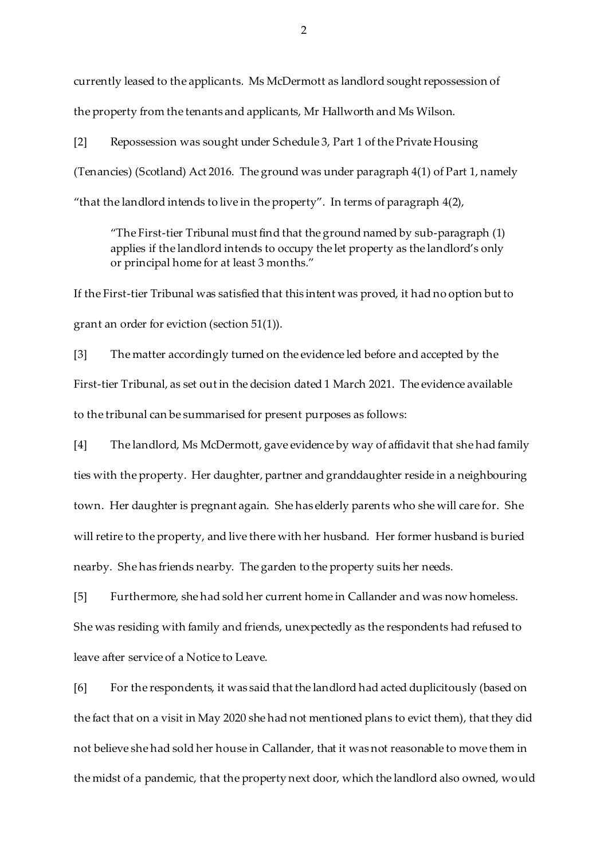currently leased to the applicants. Ms McDermott as landlord sought repossession of the property from the tenants and applicants, Mr Hallworth and Ms Wilson.

[2] Repossession was sought under Schedule 3, Part 1 of the Private Housing (Tenancies) (Scotland) Act 2016. The ground was under paragraph 4(1) of Part 1, namely "that the landlord intends to live in the property". In terms of paragraph 4(2),

"The First-tier Tribunal must find that the ground named by sub-paragraph (1) applies if the landlord intends to occupy the let property as the landlord's only or principal home for at least 3 months*.*"

If the First-tier Tribunal was satisfied that this intent was proved, it had no option but to grant an order for eviction (section 51(1)).

[3] The matter accordingly turned on the evidence led before and accepted by the First-tier Tribunal, as set out in the decision dated 1 March 2021. The evidence available to the tribunal can be summarised for present purposes as follows:

[4] The landlord, Ms McDermott, gave evidence by way of affidavit that she had family ties with the property. Her daughter, partner and granddaughter reside in a neighbouring town. Her daughter is pregnant again. She has elderly parents who she will care for. She will retire to the property, and live there with her husband. Her former husband is buried nearby. She has friends nearby. The garden to the property suits her needs.

[5] Furthermore, she had sold her current home in Callander and was now homeless. She was residing with family and friends, unexpectedly as the respondents had refused to leave after service of a Notice to Leave.

[6] For the respondents, it was said that the landlord had acted duplicitously (based on the fact that on a visit in May 2020 she had not mentioned plans to evict them), that they did not believe she had sold her house in Callander, that it was not reasonable to move them in the midst of a pandemic, that the property next door, which the landlord also owned, would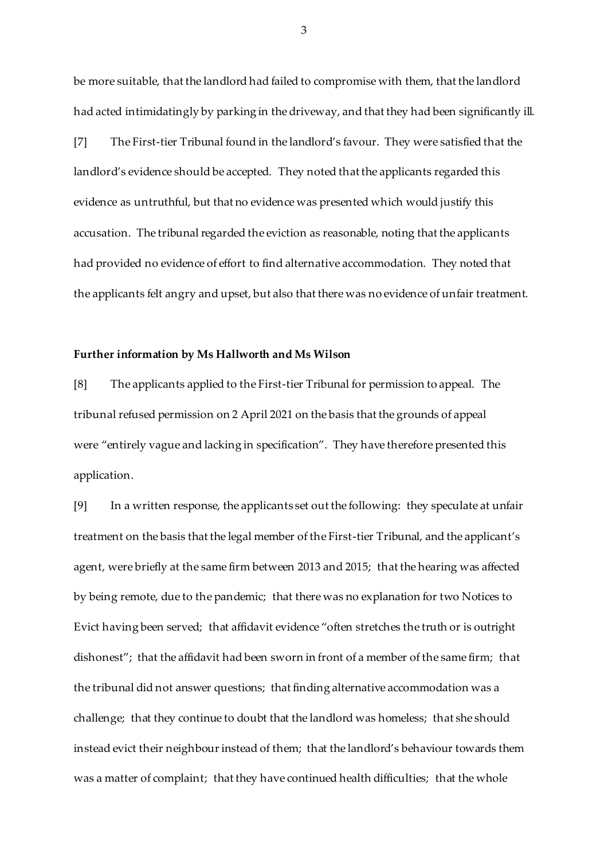be more suitable, that the landlord had failed to compromise with them, that the landlord had acted intimidatingly by parking in the driveway, and that they had been significantly ill.

[7] The First-tier Tribunal found in the landlord's favour. They were satisfied that the landlord's evidence should be accepted. They noted that the applicants regarded this evidence as untruthful, but that no evidence was presented which would justify this accusation. The tribunal regarded the eviction as reasonable, noting that the applicants had provided no evidence of effort to find alternative accommodation. They noted that the applicants felt angry and upset, but also that there was no evidence of unfair treatment.

#### **Further information by Ms Hallworth and Ms Wilson**

[8] The applicants applied to the First-tier Tribunal for permission to appeal. The tribunal refused permission on 2 April 2021 on the basis that the grounds of appeal were "entirely vague and lacking in specification". They have therefore presented this application.

[9] In a written response, the applicants set out the following: they speculate at unfair treatment on the basis that the legal member of the First-tier Tribunal, and the applicant's agent, were briefly at the same firm between 2013 and 2015; that the hearing was affected by being remote, due to the pandemic; that there was no explanation for two Notices to Evict having been served; that affidavit evidence "often stretches the truth or is outright dishonest"; that the affidavit had been sworn in front of a member of the same firm; that the tribunal did not answer questions; that finding alternative accommodation was a challenge; that they continue to doubt that the landlord was homeless; that she should instead evict their neighbour instead of them; that the landlord's behaviour towards them was a matter of complaint; that they have continued health difficulties; that the whole

3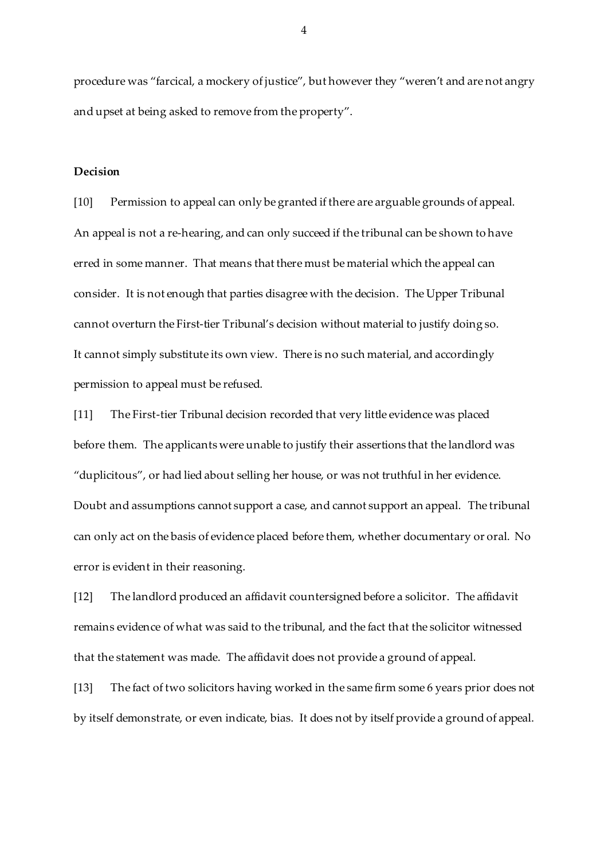procedure was "farcical, a mockery of justice", but however they "weren't and are not angry and upset at being asked to remove from the property".

#### **Decision**

[10] Permission to appeal can only be granted if there are arguable grounds of appeal. An appeal is not a re-hearing, and can only succeed if the tribunal can be shown to have erred in some manner. That means that there must be material which the appeal can consider. It is not enough that parties disagree with the decision. The Upper Tribunal cannot overturn the First-tier Tribunal's decision without material to justify doing so. It cannot simply substitute its own view. There is no such material, and accordingly permission to appeal must be refused.

[11] The First-tier Tribunal decision recorded that very little evidence was placed before them. The applicants were unable to justify their assertions that the landlord was "duplicitous", or had lied about selling her house, or was not truthful in her evidence. Doubt and assumptions cannot support a case, and cannot support an appeal. The tribunal can only act on the basis of evidence placed before them, whether documentary or oral. No error is evident in their reasoning.

[12] The landlord produced an affidavit countersigned before a solicitor. The affidavit remains evidence of what was said to the tribunal, and the fact that the solicitor witnessed that the statement was made. The affidavit does not provide a ground of appeal.

[13] The fact of two solicitors having worked in the same firm some 6 years prior does not by itself demonstrate, or even indicate, bias. It does not by itself provide a ground of appeal.

4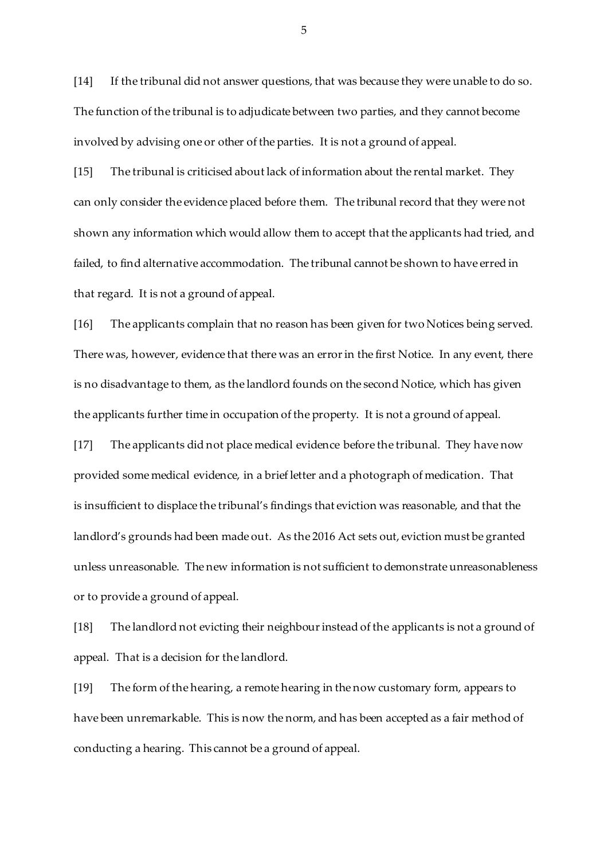[14] If the tribunal did not answer questions, that was because they were unable to do so. The function of the tribunal is to adjudicate between two parties, and they cannot become involved by advising one or other of the parties. It is not a ground of appeal.

[15] The tribunal is criticised about lack of information about the rental market. They can only consider the evidence placed before them. The tribunal record that they were not shown any information which would allow them to accept that the applicants had tried, and failed, to find alternative accommodation. The tribunal cannot be shown to have erred in that regard. It is not a ground of appeal.

[16] The applicants complain that no reason has been given for two Notices being served. There was, however, evidence that there was an error in the first Notice. In any event, there is no disadvantage to them, as the landlord founds on the second Notice, which has given the applicants further time in occupation of the property. It is not a ground of appeal.

[17] The applicants did not place medical evidence before the tribunal. They have now provided some medical evidence, in a brief letter and a photograph of medication. That is insufficient to displace the tribunal's findings that eviction was reasonable, and that the landlord's grounds had been made out. As the 2016 Act sets out, eviction must be granted unless unreasonable. The new information is not sufficient to demonstrate unreasonableness or to provide a ground of appeal.

[18] The landlord not evicting their neighbour instead of the applicants is not a ground of appeal. That is a decision for the landlord.

[19] The form of the hearing, a remote hearing in the now customary form, appears to have been unremarkable. This is now the norm, and has been accepted as a fair method of conducting a hearing. This cannot be a ground of appeal.

5